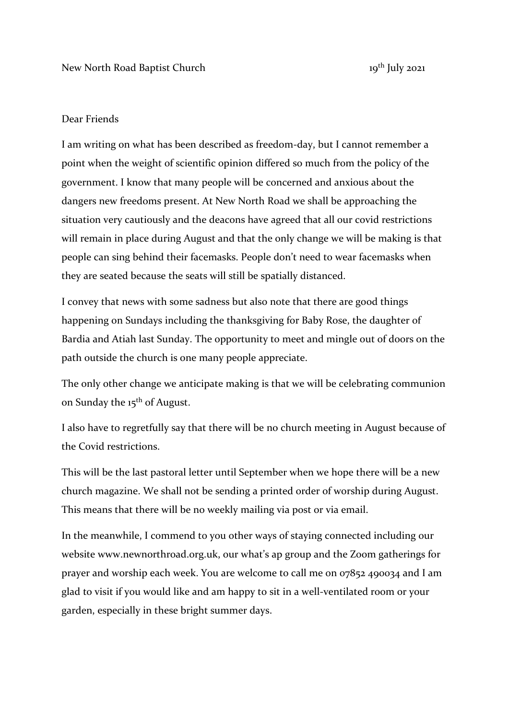## Dear Friends

I am writing on what has been described as freedom-day, but I cannot remember a point when the weight of scientific opinion differed so much from the policy of the government. I know that many people will be concerned and anxious about the dangers new freedoms present. At New North Road we shall be approaching the situation very cautiously and the deacons have agreed that all our covid restrictions will remain in place during August and that the only change we will be making is that people can sing behind their facemasks. People don't need to wear facemasks when they are seated because the seats will still be spatially distanced.

I convey that news with some sadness but also note that there are good things happening on Sundays including the thanksgiving for Baby Rose, the daughter of Bardia and Atiah last Sunday. The opportunity to meet and mingle out of doors on the path outside the church is one many people appreciate.

The only other change we anticipate making is that we will be celebrating communion on Sunday the 15<sup>th</sup> of August.

I also have to regretfully say that there will be no church meeting in August because of the Covid restrictions.

This will be the last pastoral letter until September when we hope there will be a new church magazine. We shall not be sending a printed order of worship during August. This means that there will be no weekly mailing via post or via email.

In the meanwhile, I commend to you other ways of staying connected including our website www.newnorthroad.org.uk, our what's ap group and the Zoom gatherings for prayer and worship each week. You are welcome to call me on 07852 490034 and I am glad to visit if you would like and am happy to sit in a well-ventilated room or your garden, especially in these bright summer days.